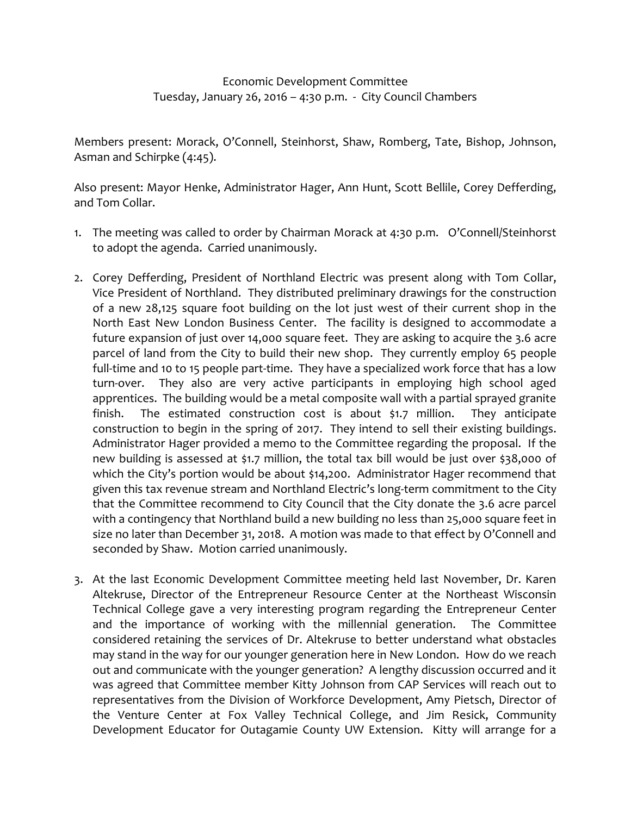## Economic Development Committee Tuesday, January 26, 2016 – 4:30 p.m. - City Council Chambers

Members present: Morack, O'Connell, Steinhorst, Shaw, Romberg, Tate, Bishop, Johnson, Asman and Schirpke (4:45).

Also present: Mayor Henke, Administrator Hager, Ann Hunt, Scott Bellile, Corey Defferding, and Tom Collar.

- 1. The meeting was called to order by Chairman Morack at 4:30 p.m. O'Connell/Steinhorst to adopt the agenda. Carried unanimously.
- 2. Corey Defferding, President of Northland Electric was present along with Tom Collar, Vice President of Northland. They distributed preliminary drawings for the construction of a new 28,125 square foot building on the lot just west of their current shop in the North East New London Business Center. The facility is designed to accommodate a future expansion of just over 14,000 square feet. They are asking to acquire the 3.6 acre parcel of land from the City to build their new shop. They currently employ 65 people full-time and 10 to 15 people part-time. They have a specialized work force that has a low turn-over. They also are very active participants in employing high school aged apprentices. The building would be a metal composite wall with a partial sprayed granite finish. The estimated construction cost is about \$1.7 million. They anticipate construction to begin in the spring of 2017. They intend to sell their existing buildings. Administrator Hager provided a memo to the Committee regarding the proposal. If the new building is assessed at \$1.7 million, the total tax bill would be just over \$38,000 of which the City's portion would be about \$14,200. Administrator Hager recommend that given this tax revenue stream and Northland Electric's long-term commitment to the City that the Committee recommend to City Council that the City donate the 3.6 acre parcel with a contingency that Northland build a new building no less than 25,000 square feet in size no later than December 31, 2018. A motion was made to that effect by O'Connell and seconded by Shaw. Motion carried unanimously.
- 3. At the last Economic Development Committee meeting held last November, Dr. Karen Altekruse, Director of the Entrepreneur Resource Center at the Northeast Wisconsin Technical College gave a very interesting program regarding the Entrepreneur Center and the importance of working with the millennial generation. The Committee considered retaining the services of Dr. Altekruse to better understand what obstacles may stand in the way for our younger generation here in New London. How do we reach out and communicate with the younger generation? A lengthy discussion occurred and it was agreed that Committee member Kitty Johnson from CAP Services will reach out to representatives from the Division of Workforce Development, Amy Pietsch, Director of the Venture Center at Fox Valley Technical College, and Jim Resick, Community Development Educator for Outagamie County UW Extension. Kitty will arrange for a